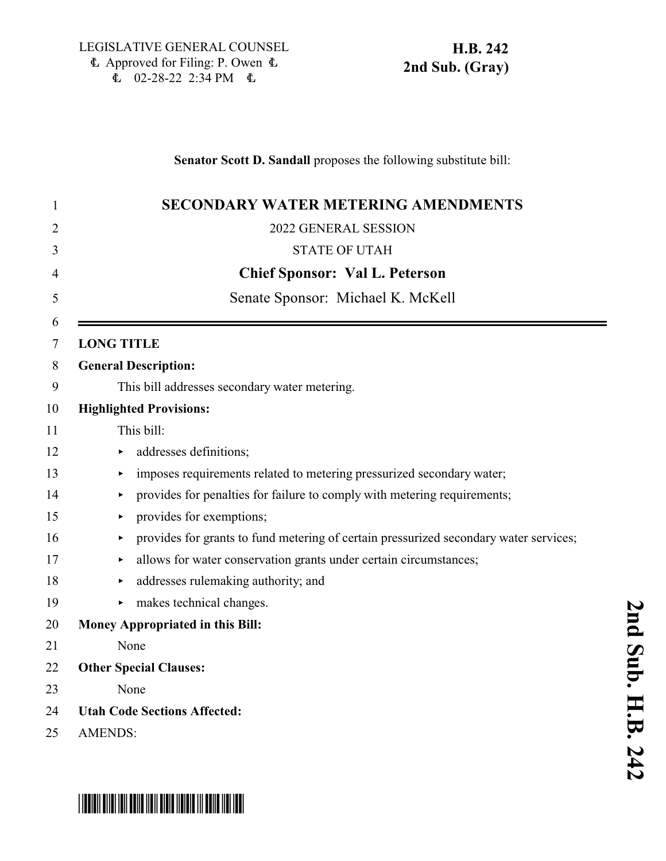### **Senator Scott D. Sandall** proposes the following substitute bill:

| 1      | <b>SECONDARY WATER METERING AMENDMENTS</b>                                            |
|--------|---------------------------------------------------------------------------------------|
| 2      | 2022 GENERAL SESSION                                                                  |
| 3      | <b>STATE OF UTAH</b>                                                                  |
| 4      | <b>Chief Sponsor: Val L. Peterson</b>                                                 |
| 5      | Senate Sponsor: Michael K. McKell                                                     |
| 6<br>7 | <b>LONG TITLE</b>                                                                     |
| 8      | <b>General Description:</b>                                                           |
| 9      | This bill addresses secondary water metering.                                         |
| 10     | <b>Highlighted Provisions:</b>                                                        |
| 11     | This bill:                                                                            |
| 12     | addresses definitions;                                                                |
| 13     | imposes requirements related to metering pressurized secondary water;                 |
| 14     | provides for penalties for failure to comply with metering requirements;              |
| 15     | provides for exemptions;                                                              |
| 16     | provides for grants to fund metering of certain pressurized secondary water services; |
| 17     | allows for water conservation grants under certain circumstances;                     |
| 18     | addresses rulemaking authority; and                                                   |
| 19     | makes technical changes.                                                              |
| 20     | Money Appropriated in this Bill:                                                      |
| 21     | None                                                                                  |
| 22     | <b>Other Special Clauses:</b>                                                         |
| 23     | None                                                                                  |
| 24     | <b>Utah Code Sections Affected:</b>                                                   |
| 25     | <b>AMENDS:</b>                                                                        |



**2 n d S u**

# \*HB0242S02\*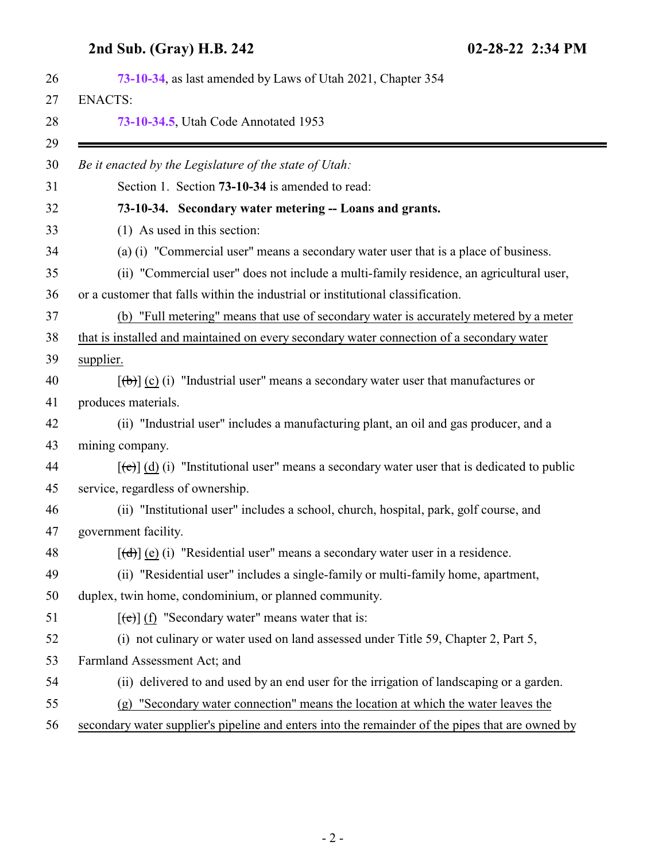<span id="page-1-0"></span>

| 73-10-34, as last amended by Laws of Utah 2021, Chapter 354                                                          |
|----------------------------------------------------------------------------------------------------------------------|
| <b>ENACTS:</b>                                                                                                       |
| 73-10-34.5, Utah Code Annotated 1953                                                                                 |
| Be it enacted by the Legislature of the state of Utah:                                                               |
| Section 1. Section 73-10-34 is amended to read:                                                                      |
| 73-10-34. Secondary water metering -- Loans and grants.                                                              |
| (1) As used in this section:                                                                                         |
| (a) (i) "Commercial user" means a secondary water user that is a place of business.                                  |
| (ii) "Commercial user" does not include a multi-family residence, an agricultural user,                              |
| or a customer that falls within the industrial or institutional classification.                                      |
| (b) "Full metering" means that use of secondary water is accurately metered by a meter                               |
| that is installed and maintained on every secondary water connection of a secondary water                            |
| supplier.                                                                                                            |
| $[\phi]$ (c) (i) "Industrial user" means a secondary water user that manufactures or                                 |
| produces materials.                                                                                                  |
| (ii) "Industrial user" includes a manufacturing plant, an oil and gas producer, and a                                |
| mining company.                                                                                                      |
| $[\text{e}(\text{e})]$ (d) (i) "Institutional user" means a secondary water user that is dedicated to public         |
| service, regardless of ownership.                                                                                    |
| (ii) "Institutional user" includes a school, church, hospital, park, golf course, and                                |
| government facility.                                                                                                 |
| $[\text{d} \text{d} \text{d} \text{d} \text{e}]$ (i) "Residential user" means a secondary water user in a residence. |
| (ii) "Residential user" includes a single-family or multi-family home, apartment,                                    |
| duplex, twin home, condominium, or planned community.                                                                |
| $[\text{e}(\text{e})]$ (f) "Secondary water" means water that is:                                                    |
| (i) not culinary or water used on land assessed under Title 59, Chapter 2, Part 5,                                   |
| Farmland Assessment Act; and                                                                                         |
| delivered to and used by an end user for the irrigation of landscaping or a garden.<br>(ii)                          |
| "Secondary water connection" means the location at which the water leaves the<br>(g)                                 |
| secondary water supplier's pipeline and enters into the remainder of the pipes that are owned by                     |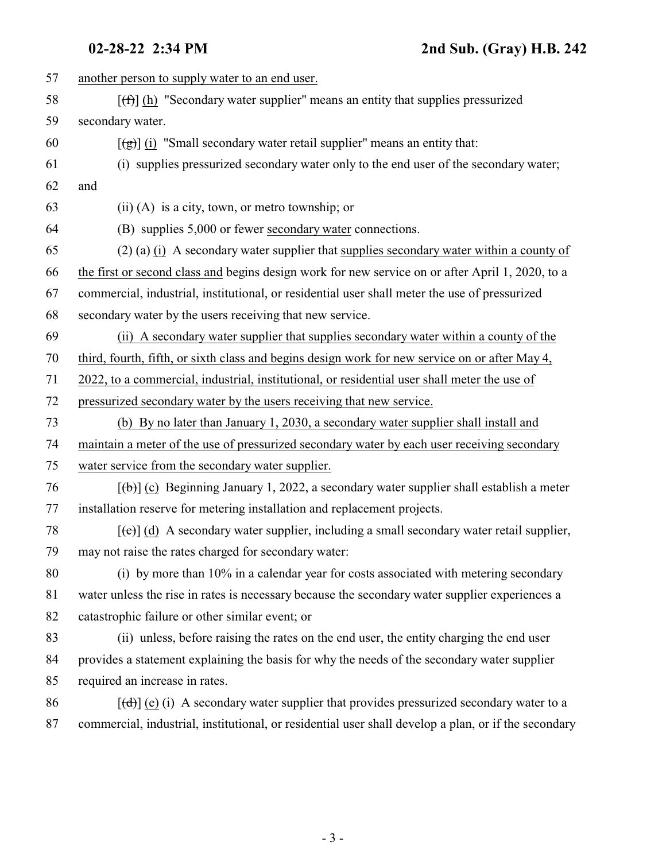| 57 | another person to supply water to an end user.                                                          |
|----|---------------------------------------------------------------------------------------------------------|
| 58 | $[f(f)]$ (h) "Secondary water supplier" means an entity that supplies pressurized                       |
| 59 | secondary water.                                                                                        |
| 60 | $\left[\frac{1}{2}\right]$ (i) "Small secondary water retail supplier" means an entity that:            |
| 61 | (i) supplies pressurized secondary water only to the end user of the secondary water;                   |
| 62 | and                                                                                                     |
| 63 | $(ii)$ (A) is a city, town, or metro township; or                                                       |
| 64 | (B) supplies 5,000 or fewer secondary water connections.                                                |
| 65 | $(2)$ (a) $(i)$ A secondary water supplier that supplies secondary water within a county of             |
| 66 | the first or second class and begins design work for new service on or after April 1, 2020, to a        |
| 67 | commercial, industrial, institutional, or residential user shall meter the use of pressurized           |
| 68 | secondary water by the users receiving that new service.                                                |
| 69 | (ii) A secondary water supplier that supplies secondary water within a county of the                    |
| 70 | third, fourth, fifth, or sixth class and begins design work for new service on or after May 4,          |
| 71 | 2022, to a commercial, industrial, institutional, or residential user shall meter the use of            |
| 72 | pressurized secondary water by the users receiving that new service.                                    |
| 73 | (b) By no later than January 1, 2030, a secondary water supplier shall install and                      |
| 74 | maintain a meter of the use of pressurized secondary water by each user receiving secondary             |
| 75 | water service from the secondary water supplier.                                                        |
| 76 | $[\theta]$ (c) Beginning January 1, 2022, a secondary water supplier shall establish a meter            |
| 77 | installation reserve for metering installation and replacement projects.                                |
| 78 | $[\text{e}^{-}]$ (d) A secondary water supplier, including a small secondary water retail supplier,     |
| 79 | may not raise the rates charged for secondary water:                                                    |
| 80 | (i) by more than 10% in a calendar year for costs associated with metering secondary                    |
| 81 | water unless the rise in rates is necessary because the secondary water supplier experiences a          |
| 82 | catastrophic failure or other similar event; or                                                         |
| 83 | (ii) unless, before raising the rates on the end user, the entity charging the end user                 |
| 84 | provides a statement explaining the basis for why the needs of the secondary water supplier             |
| 85 | required an increase in rates.                                                                          |
| 86 | $[\text{(\text{d})}]$ (e) (i) A secondary water supplier that provides pressurized secondary water to a |
| 87 | commercial, industrial, institutional, or residential user shall develop a plan, or if the secondary    |
|    |                                                                                                         |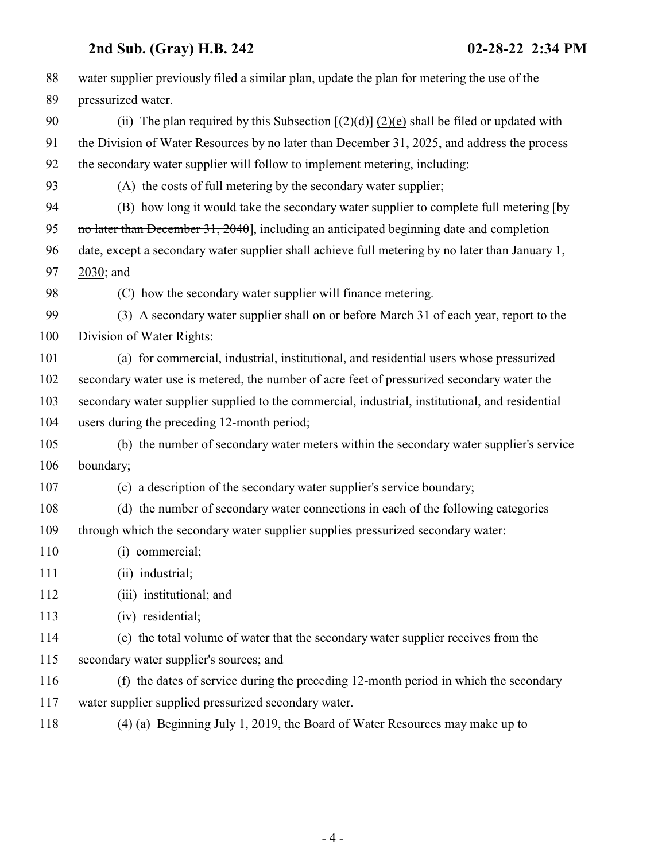| 88  | water supplier previously filed a similar plan, update the plan for metering the use of the         |
|-----|-----------------------------------------------------------------------------------------------------|
| 89  | pressurized water.                                                                                  |
| 90  | (ii) The plan required by this Subsection $[\frac{2}{(2)(d)}](2)(e)$ shall be filed or updated with |
| 91  | the Division of Water Resources by no later than December 31, 2025, and address the process         |
| 92  | the secondary water supplier will follow to implement metering, including:                          |
| 93  | (A) the costs of full metering by the secondary water supplier;                                     |
| 94  | (B) how long it would take the secondary water supplier to complete full metering $[\frac{b}{y}]$   |
| 95  | no later than December 31, 2040], including an anticipated beginning date and completion            |
| 96  | date, except a secondary water supplier shall achieve full metering by no later than January 1,     |
| 97  | 2030; and                                                                                           |
| 98  | (C) how the secondary water supplier will finance metering.                                         |
| 99  | (3) A secondary water supplier shall on or before March 31 of each year, report to the              |
| 100 | Division of Water Rights:                                                                           |
| 101 | (a) for commercial, industrial, institutional, and residential users whose pressurized              |
| 102 | secondary water use is metered, the number of acre feet of pressurized secondary water the          |
| 103 | secondary water supplier supplied to the commercial, industrial, institutional, and residential     |
| 104 | users during the preceding 12-month period;                                                         |
| 105 | (b) the number of secondary water meters within the secondary water supplier's service              |
| 106 | boundary;                                                                                           |
| 107 | (c) a description of the secondary water supplier's service boundary;                               |
| 108 | (d) the number of secondary water connections in each of the following categories                   |
| 109 | through which the secondary water supplier supplies pressurized secondary water:                    |
| 110 | (i) commercial;                                                                                     |
| 111 | (ii) industrial;                                                                                    |
| 112 | (iii) institutional; and                                                                            |
| 113 | (iv) residential;                                                                                   |
| 114 | (e) the total volume of water that the secondary water supplier receives from the                   |
| 115 | secondary water supplier's sources; and                                                             |
| 116 | (f) the dates of service during the preceding 12-month period in which the secondary                |
| 117 | water supplier supplied pressurized secondary water.                                                |
| 118 | (4) (a) Beginning July 1, 2019, the Board of Water Resources may make up to                         |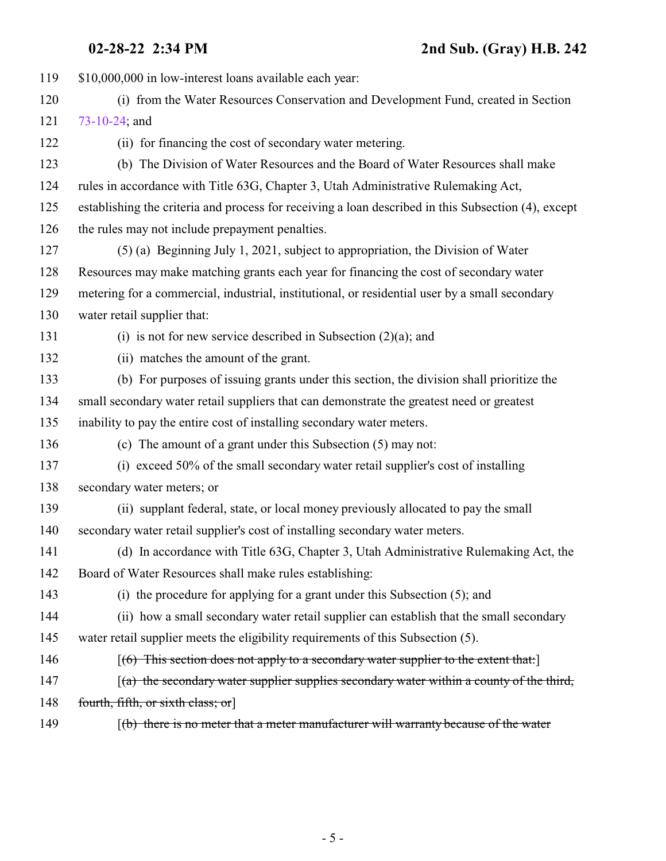| 119 | \$10,000,000 in low-interest loans available each year:                                                   |
|-----|-----------------------------------------------------------------------------------------------------------|
| 120 | (i) from the Water Resources Conservation and Development Fund, created in Section                        |
| 121 | 73-10-24; and                                                                                             |
| 122 | (ii) for financing the cost of secondary water metering.                                                  |
| 123 | (b) The Division of Water Resources and the Board of Water Resources shall make                           |
| 124 | rules in accordance with Title 63G, Chapter 3, Utah Administrative Rulemaking Act,                        |
| 125 | establishing the criteria and process for receiving a loan described in this Subsection (4), except       |
| 126 | the rules may not include prepayment penalties.                                                           |
| 127 | $(5)$ (a) Beginning July 1, 2021, subject to appropriation, the Division of Water                         |
| 128 | Resources may make matching grants each year for financing the cost of secondary water                    |
| 129 | metering for a commercial, industrial, institutional, or residential user by a small secondary            |
| 130 | water retail supplier that:                                                                               |
| 131 | (i) is not for new service described in Subsection $(2)(a)$ ; and                                         |
| 132 | (ii) matches the amount of the grant.                                                                     |
| 133 | (b) For purposes of issuing grants under this section, the division shall prioritize the                  |
| 134 | small secondary water retail suppliers that can demonstrate the greatest need or greatest                 |
| 135 | inability to pay the entire cost of installing secondary water meters.                                    |
| 136 | (c) The amount of a grant under this Subsection (5) may not:                                              |
| 137 | (i) exceed 50% of the small secondary water retail supplier's cost of installing                          |
| 138 | secondary water meters; or                                                                                |
| 139 | (ii) supplant federal, state, or local money previously allocated to pay the small                        |
| 140 | secondary water retail supplier's cost of installing secondary water meters.                              |
| 141 | (d) In accordance with Title 63G, Chapter 3, Utah Administrative Rulemaking Act, the                      |
| 142 | Board of Water Resources shall make rules establishing:                                                   |
| 143 | (i) the procedure for applying for a grant under this Subsection (5); and                                 |
| 144 | (ii) how a small secondary water retail supplier can establish that the small secondary                   |
| 145 | water retail supplier meets the eligibility requirements of this Subsection (5).                          |
| 146 | $[(6)$ This section does not apply to a secondary water supplier to the extent that:                      |
| 147 | $(a)$ the secondary water supplier supplies secondary water within a county of the third,                 |
| 148 | fourth, fifth, or sixth class; or                                                                         |
| 149 | $\left[\frac{b}{b}\right]$ there is no meter that a meter manufacturer will warranty because of the water |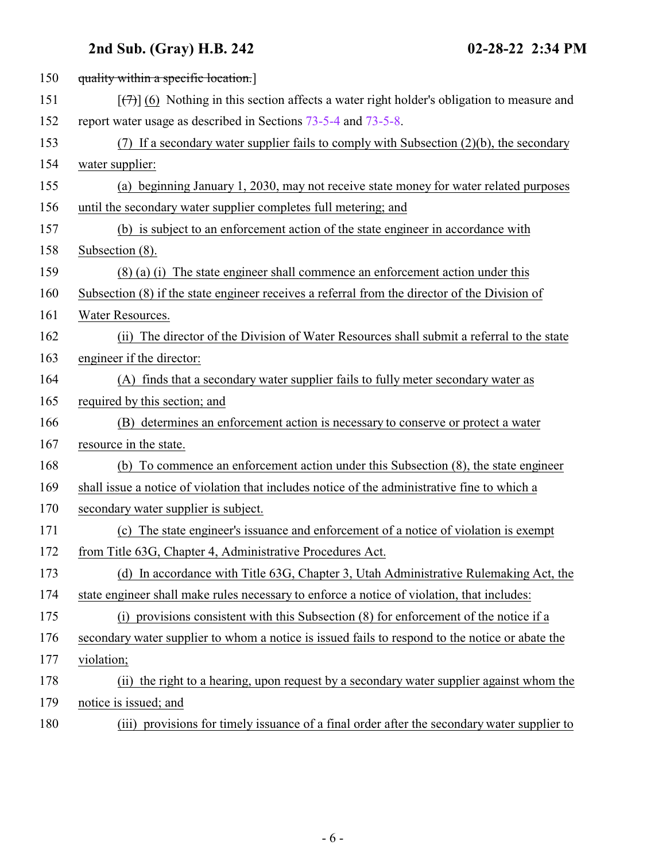| 150 | quality within a specific location.                                                                     |
|-----|---------------------------------------------------------------------------------------------------------|
| 151 | $[\overline{(+)}]$ (6) Nothing in this section affects a water right holder's obligation to measure and |
| 152 | report water usage as described in Sections 73-5-4 and 73-5-8.                                          |
| 153 | (7) If a secondary water supplier fails to comply with Subsection $(2)(b)$ , the secondary              |
| 154 | water supplier:                                                                                         |
| 155 | (a) beginning January 1, 2030, may not receive state money for water related purposes                   |
| 156 | until the secondary water supplier completes full metering; and                                         |
| 157 | (b) is subject to an enforcement action of the state engineer in accordance with                        |
| 158 | Subsection (8).                                                                                         |
| 159 | $(8)$ (a) (i) The state engineer shall commence an enforcement action under this                        |
| 160 | Subsection (8) if the state engineer receives a referral from the director of the Division of           |
| 161 | Water Resources.                                                                                        |
| 162 | (ii) The director of the Division of Water Resources shall submit a referral to the state               |
| 163 | engineer if the director:                                                                               |
| 164 | (A) finds that a secondary water supplier fails to fully meter secondary water as                       |
| 165 | required by this section; and                                                                           |
| 166 | (B) determines an enforcement action is necessary to conserve or protect a water                        |
| 167 | resource in the state.                                                                                  |
| 168 | (b) To commence an enforcement action under this Subsection (8), the state engineer                     |
| 169 | shall issue a notice of violation that includes notice of the administrative fine to which a            |
| 170 | secondary water supplier is subject.                                                                    |
| 171 | (c) The state engineer's issuance and enforcement of a notice of violation is exempt                    |
| 172 | from Title 63G, Chapter 4, Administrative Procedures Act.                                               |
| 173 | (d) In accordance with Title 63G, Chapter 3, Utah Administrative Rulemaking Act, the                    |
| 174 | state engineer shall make rules necessary to enforce a notice of violation, that includes:              |
| 175 | (i) provisions consistent with this Subsection (8) for enforcement of the notice if a                   |
| 176 | secondary water supplier to whom a notice is issued fails to respond to the notice or abate the         |
| 177 | violation;                                                                                              |
| 178 | (ii) the right to a hearing, upon request by a secondary water supplier against whom the                |
| 179 | notice is issued; and                                                                                   |
| 180 | (iii) provisions for timely issuance of a final order after the secondary water supplier to             |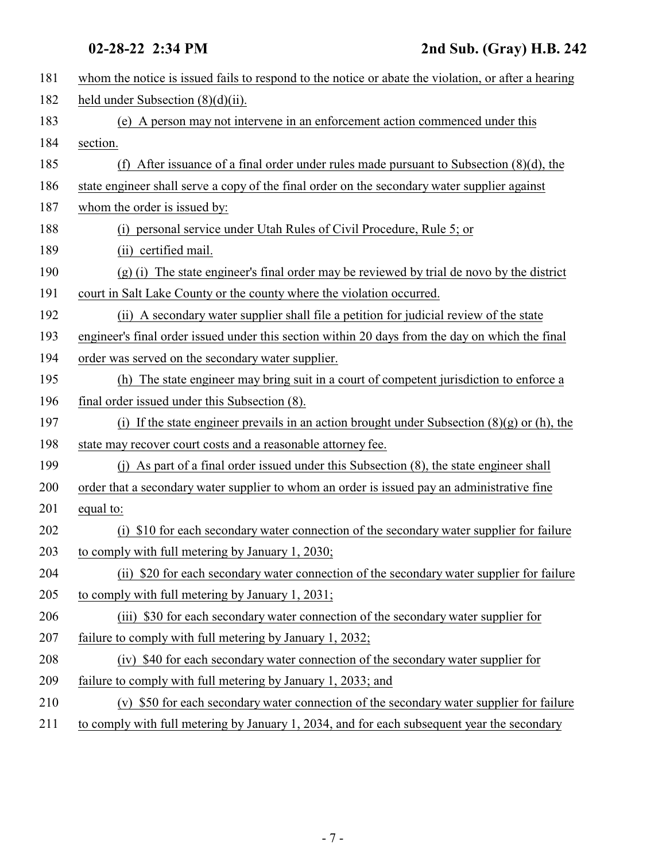| 181 | whom the notice is issued fails to respond to the notice or abate the violation, or after a hearing |
|-----|-----------------------------------------------------------------------------------------------------|
| 182 | held under Subsection $(8)(d)(ii)$ .                                                                |
| 183 | (e) A person may not intervene in an enforcement action commenced under this                        |
| 184 | section.                                                                                            |
| 185 | (f) After issuance of a final order under rules made pursuant to Subsection $(8)(d)$ , the          |
| 186 | state engineer shall serve a copy of the final order on the secondary water supplier against        |
| 187 | whom the order is issued by:                                                                        |
| 188 | (i) personal service under Utah Rules of Civil Procedure, Rule 5; or                                |
| 189 | (ii) certified mail.                                                                                |
| 190 | (g) (i) The state engineer's final order may be reviewed by trial de novo by the district           |
| 191 | court in Salt Lake County or the county where the violation occurred.                               |
| 192 | (ii) A secondary water supplier shall file a petition for judicial review of the state              |
| 193 | engineer's final order issued under this section within 20 days from the day on which the final     |
| 194 | order was served on the secondary water supplier.                                                   |
| 195 | (h) The state engineer may bring suit in a court of competent jurisdiction to enforce a             |
| 196 | final order issued under this Subsection (8).                                                       |
| 197 | (i) If the state engineer prevails in an action brought under Subsection $(8)(g)$ or (h), the       |
| 198 | state may recover court costs and a reasonable attorney fee.                                        |
| 199 | (j) As part of a final order issued under this Subsection (8), the state engineer shall             |
| 200 | order that a secondary water supplier to whom an order is issued pay an administrative fine         |
| 201 | equal to:                                                                                           |
| 202 | (i) \$10 for each secondary water connection of the secondary water supplier for failure            |
| 203 | to comply with full metering by January 1, 2030;                                                    |
| 204 | (ii) \$20 for each secondary water connection of the secondary water supplier for failure           |
| 205 | to comply with full metering by January 1, 2031;                                                    |
| 206 | (iii) \$30 for each secondary water connection of the secondary water supplier for                  |
| 207 | failure to comply with full metering by January 1, 2032;                                            |
| 208 | (iv) \$40 for each secondary water connection of the secondary water supplier for                   |
| 209 | failure to comply with full metering by January 1, 2033; and                                        |
| 210 | (v) \$50 for each secondary water connection of the secondary water supplier for failure            |
| 211 | to comply with full metering by January 1, 2034, and for each subsequent year the secondary         |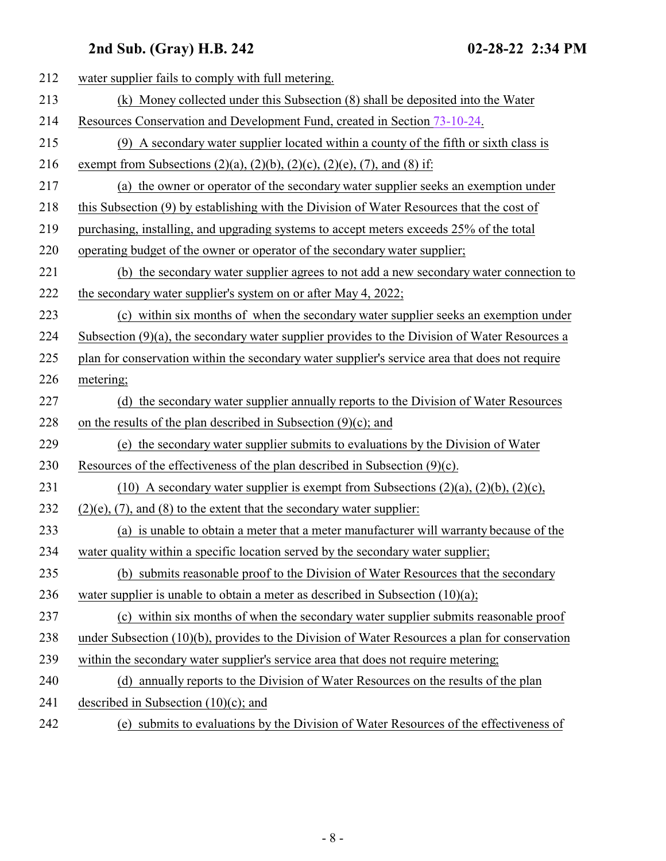| 212 | water supplier fails to comply with full metering.                                               |
|-----|--------------------------------------------------------------------------------------------------|
| 213 | (k) Money collected under this Subsection (8) shall be deposited into the Water                  |
| 214 | Resources Conservation and Development Fund, created in Section 73-10-24.                        |
| 215 | (9) A secondary water supplier located within a county of the fifth or sixth class is            |
| 216 | exempt from Subsections (2)(a), (2)(b), (2)(c), (2)(e), (7), and (8) if:                         |
| 217 | (a) the owner or operator of the secondary water supplier seeks an exemption under               |
| 218 | this Subsection (9) by establishing with the Division of Water Resources that the cost of        |
| 219 | purchasing, installing, and upgrading systems to accept meters exceeds 25% of the total          |
| 220 | operating budget of the owner or operator of the secondary water supplier;                       |
| 221 | (b) the secondary water supplier agrees to not add a new secondary water connection to           |
| 222 | the secondary water supplier's system on or after May 4, 2022;                                   |
| 223 | (c) within six months of when the secondary water supplier seeks an exemption under              |
| 224 | Subsection $(9)(a)$ , the secondary water supplier provides to the Division of Water Resources a |
| 225 | plan for conservation within the secondary water supplier's service area that does not require   |
| 226 | metering;                                                                                        |
| 227 | (d) the secondary water supplier annually reports to the Division of Water Resources             |
| 228 | on the results of the plan described in Subsection $(9)(c)$ ; and                                |
| 229 | (e) the secondary water supplier submits to evaluations by the Division of Water                 |
| 230 | Resources of the effectiveness of the plan described in Subsection $(9)(c)$ .                    |
| 231 | (10) A secondary water supplier is exempt from Subsections $(2)(a)$ , $(2)(b)$ , $(2)(c)$ ,      |
| 232 | $(2)(e)$ , $(7)$ , and $(8)$ to the extent that the secondary water supplier:                    |
| 233 | (a) is unable to obtain a meter that a meter manufacturer will warranty because of the           |
| 234 | water quality within a specific location served by the secondary water supplier;                 |
| 235 | (b) submits reasonable proof to the Division of Water Resources that the secondary               |
| 236 | water supplier is unable to obtain a meter as described in Subsection $(10)(a)$ ;                |
| 237 | (c) within six months of when the secondary water supplier submits reasonable proof              |
| 238 | under Subsection (10)(b), provides to the Division of Water Resources a plan for conservation    |
| 239 | within the secondary water supplier's service area that does not require metering;               |
| 240 | (d) annually reports to the Division of Water Resources on the results of the plan               |
| 241 | described in Subsection $(10)(c)$ ; and                                                          |
| 242 | (e) submits to evaluations by the Division of Water Resources of the effectiveness of            |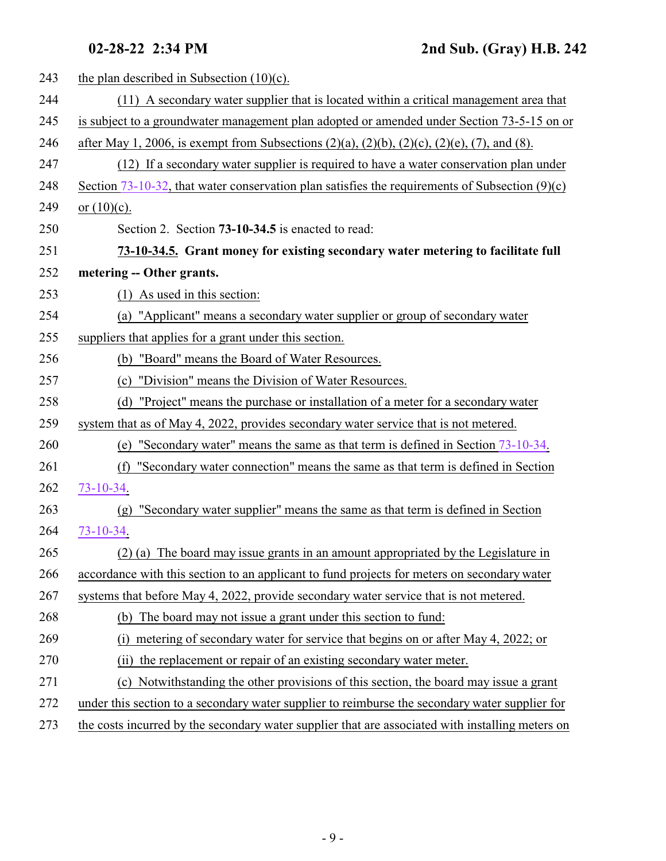<span id="page-8-0"></span>

| 243 | the plan described in Subsection $(10)(c)$ .                                                                  |
|-----|---------------------------------------------------------------------------------------------------------------|
| 244 | (11) A secondary water supplier that is located within a critical management area that                        |
| 245 | is subject to a groundwater management plan adopted or amended under Section 73-5-15 on or                    |
| 246 | after May 1, 2006, is exempt from Subsections $(2)(a)$ , $(2)(b)$ , $(2)(c)$ , $(2)(e)$ , $(7)$ , and $(8)$ . |
| 247 | (12) If a secondary water supplier is required to have a water conservation plan under                        |
| 248 | Section 73-10-32, that water conservation plan satisfies the requirements of Subsection $(9)(c)$              |
| 249 | or $(10)(c)$ .                                                                                                |
| 250 | Section 2. Section 73-10-34.5 is enacted to read:                                                             |
| 251 | 73-10-34.5. Grant money for existing secondary water metering to facilitate full                              |
| 252 | metering -- Other grants.                                                                                     |
| 253 | $(1)$ As used in this section:                                                                                |
| 254 | (a) "Applicant" means a secondary water supplier or group of secondary water                                  |
| 255 | suppliers that applies for a grant under this section.                                                        |
| 256 | "Board" means the Board of Water Resources.<br>(b)                                                            |
| 257 | "Division" means the Division of Water Resources.<br>(c)                                                      |
| 258 | "Project" means the purchase or installation of a meter for a secondary water<br>(d)                          |
| 259 | system that as of May 4, 2022, provides secondary water service that is not metered.                          |
| 260 | "Secondary water" means the same as that term is defined in Section 73-10-34.<br>(e)                          |
| 261 | "Secondary water connection" means the same as that term is defined in Section<br>(f)                         |
| 262 | $73 - 10 - 34.$                                                                                               |
| 263 | "Secondary water supplier" means the same as that term is defined in Section<br>(g)                           |
| 264 | 73-10-34.                                                                                                     |
| 265 | (2) (a) The board may issue grants in an amount appropriated by the Legislature in                            |
| 266 | accordance with this section to an applicant to fund projects for meters on secondary water                   |
| 267 | systems that before May 4, 2022, provide secondary water service that is not metered.                         |
| 268 | (b) The board may not issue a grant under this section to fund:                                               |
| 269 | metering of secondary water for service that begins on or after May 4, 2022; or<br>(i)                        |
| 270 | the replacement or repair of an existing secondary water meter.<br>(ii)                                       |
| 271 | Notwithstanding the other provisions of this section, the board may issue a grant<br>(c)                      |
| 272 | under this section to a secondary water supplier to reimburse the secondary water supplier for                |
| 273 | the costs incurred by the secondary water supplier that are associated with installing meters on              |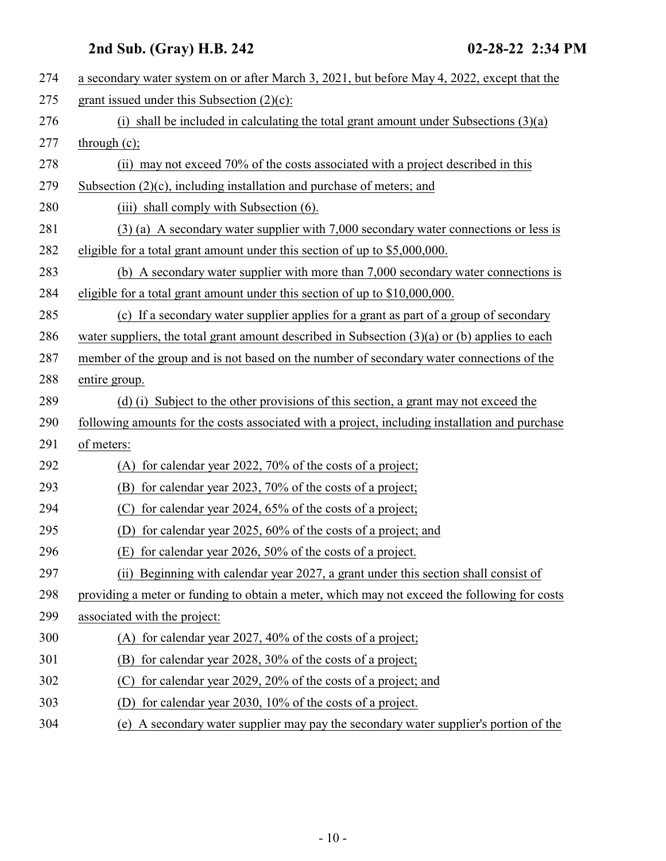| 274 | a secondary water system on or after March 3, 2021, but before May 4, 2022, except that the     |
|-----|-------------------------------------------------------------------------------------------------|
| 275 | grant issued under this Subsection (2)(c):                                                      |
| 276 | (i) shall be included in calculating the total grant amount under Subsections $(3)(a)$          |
| 277 | through $(c)$ ;                                                                                 |
| 278 | (ii) may not exceed 70% of the costs associated with a project described in this                |
| 279 | Subsection $(2)(c)$ , including installation and purchase of meters; and                        |
| 280 | (iii) shall comply with Subsection (6).                                                         |
| 281 | $(3)$ (a) A secondary water supplier with 7,000 secondary water connections or less is          |
| 282 | eligible for a total grant amount under this section of up to \$5,000,000.                      |
| 283 | (b) A secondary water supplier with more than 7,000 secondary water connections is              |
| 284 | eligible for a total grant amount under this section of up to \$10,000,000.                     |
| 285 | (c) If a secondary water supplier applies for a grant as part of a group of secondary           |
| 286 | water suppliers, the total grant amount described in Subsection $(3)(a)$ or (b) applies to each |
| 287 | member of the group and is not based on the number of secondary water connections of the        |
| 288 | entire group.                                                                                   |
| 289 | (d) (i) Subject to the other provisions of this section, a grant may not exceed the             |
| 290 | following amounts for the costs associated with a project, including installation and purchase  |
| 291 | of meters:                                                                                      |
| 292 | (A) for calendar year 2022, 70% of the costs of a project;                                      |
| 293 | (B)<br>for calendar year 2023, 70% of the costs of a project;                                   |
| 294 | for calendar year 2024, 65% of the costs of a project;<br>(C)                                   |
| 295 | for calendar year 2025, 60% of the costs of a project; and<br>(D)                               |
| 296 | (E) for calendar year 2026, 50% of the costs of a project.                                      |
| 297 | (ii) Beginning with calendar year 2027, a grant under this section shall consist of             |
| 298 | providing a meter or funding to obtain a meter, which may not exceed the following for costs    |
| 299 | associated with the project:                                                                    |
| 300 | for calendar year 2027, 40% of the costs of a project;<br>(A)                                   |
| 301 | for calendar year 2028, 30% of the costs of a project;<br>(B)                                   |
| 302 | for calendar year 2029, 20% of the costs of a project; and<br>(C)                               |
| 303 | for calendar year 2030, 10% of the costs of a project.                                          |
| 304 | A secondary water supplier may pay the secondary water supplier's portion of the<br>(e)         |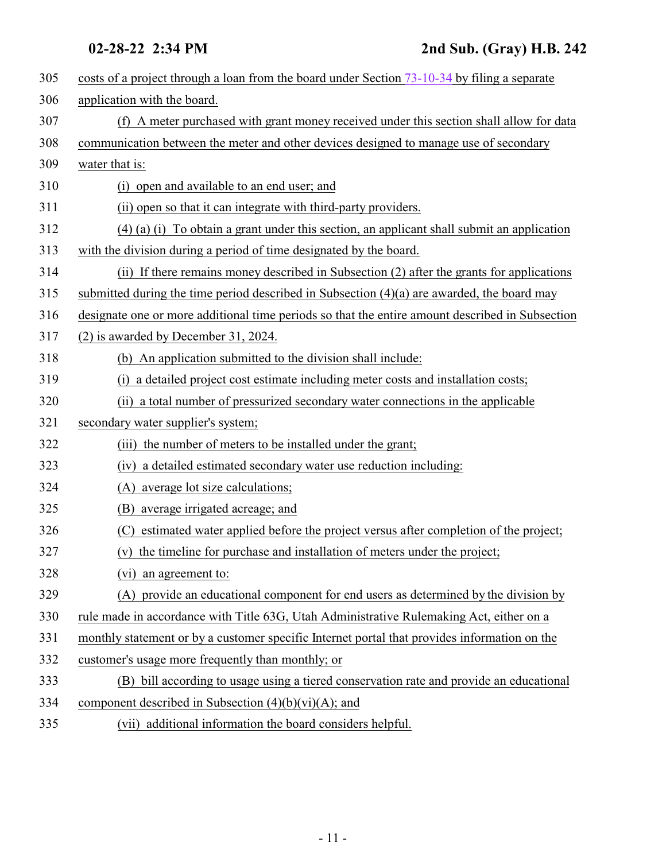| 305 | costs of a project through a loan from the board under Section 73-10-34 by filing a separate    |
|-----|-------------------------------------------------------------------------------------------------|
|     |                                                                                                 |
| 306 | application with the board.                                                                     |
| 307 | (f) A meter purchased with grant money received under this section shall allow for data         |
| 308 | communication between the meter and other devices designed to manage use of secondary           |
| 309 | water that is:                                                                                  |
| 310 | (i) open and available to an end user; and                                                      |
| 311 | (ii) open so that it can integrate with third-party providers.                                  |
| 312 | $(4)$ (a) (i) To obtain a grant under this section, an applicant shall submit an application    |
| 313 | with the division during a period of time designated by the board.                              |
| 314 | (ii) If there remains money described in Subsection (2) after the grants for applications       |
| 315 | submitted during the time period described in Subsection (4)(a) are awarded, the board may      |
| 316 | designate one or more additional time periods so that the entire amount described in Subsection |
| 317 | (2) is awarded by December 31, 2024.                                                            |
| 318 | (b) An application submitted to the division shall include:                                     |
| 319 | (i) a detailed project cost estimate including meter costs and installation costs;              |
| 320 | a total number of pressurized secondary water connections in the applicable<br>(ii)             |
| 321 | secondary water supplier's system;                                                              |
| 322 | the number of meters to be installed under the grant;<br>(iii)                                  |
| 323 | (iv) a detailed estimated secondary water use reduction including:                              |
| 324 | average lot size calculations;<br>(A)                                                           |
| 325 | (B) average irrigated acreage; and                                                              |
| 326 | estimated water applied before the project versus after completion of the project;<br>(C)       |
| 327 | (v) the timeline for purchase and installation of meters under the project;                     |
| 328 | (vi) an agreement to:                                                                           |
| 329 | (A) provide an educational component for end users as determined by the division by             |
| 330 | rule made in accordance with Title 63G, Utah Administrative Rulemaking Act, either on a         |
| 331 | monthly statement or by a customer specific Internet portal that provides information on the    |
| 332 | customer's usage more frequently than monthly; or                                               |
| 333 | (B) bill according to usage using a tiered conservation rate and provide an educational         |
| 334 | component described in Subsection $(4)(b)(vi)(A)$ ; and                                         |
| 335 | (vii) additional information the board considers helpful.                                       |